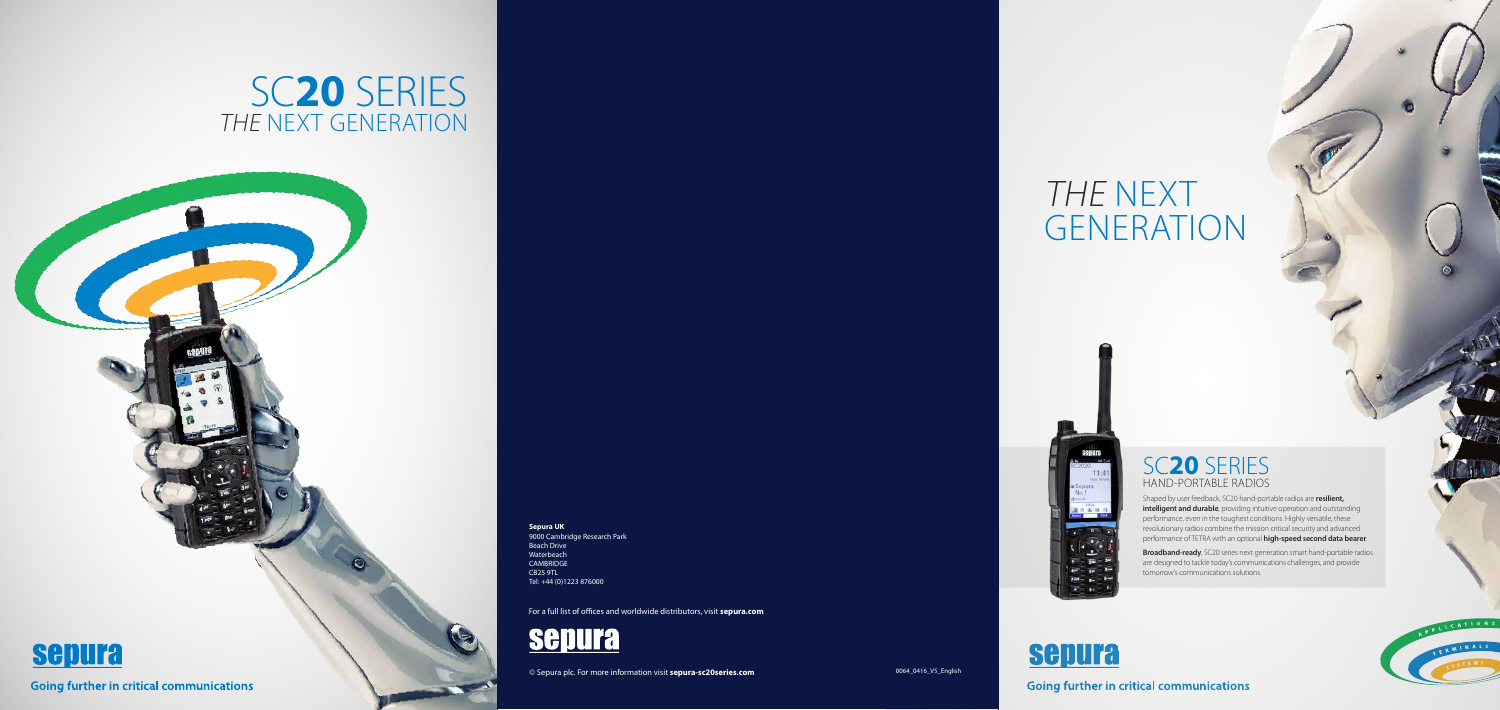## SC**20** SERIES THE NEXT GENERATION



# THE NEXT GENERATION



## SC**20** SERIES HAND-PORTABLE RADIOS

Shaped by user feedback, SC20 hand-portable radios are **resilient, intelligent and durable**, providing intuitive operation and outstanding performance, even in the toughest conditions. Highly versatile, these revolutionary radios combine the mission critical security and advanced performance of TETRA with an optional **high-speed second data bearer**.

**Broadband-ready**, SC20 series next generation smart hand-portable radios are designed to tackle today's communications challenges, and provide tomorrow's communications solutions.



### **Going further in critical communications**



For a full list of offices and worldwide distributors, visit **sepura.com**



© Sepura plc. For more information visit **sepura-sc20series.com** 0064\_0416\_V5\_English

**Sepura UK** 9000 Cambridge Research Park Beach Drive Waterbeach CAMBRIDGE CB25 9TL Tel: +44 (0)1223 876000